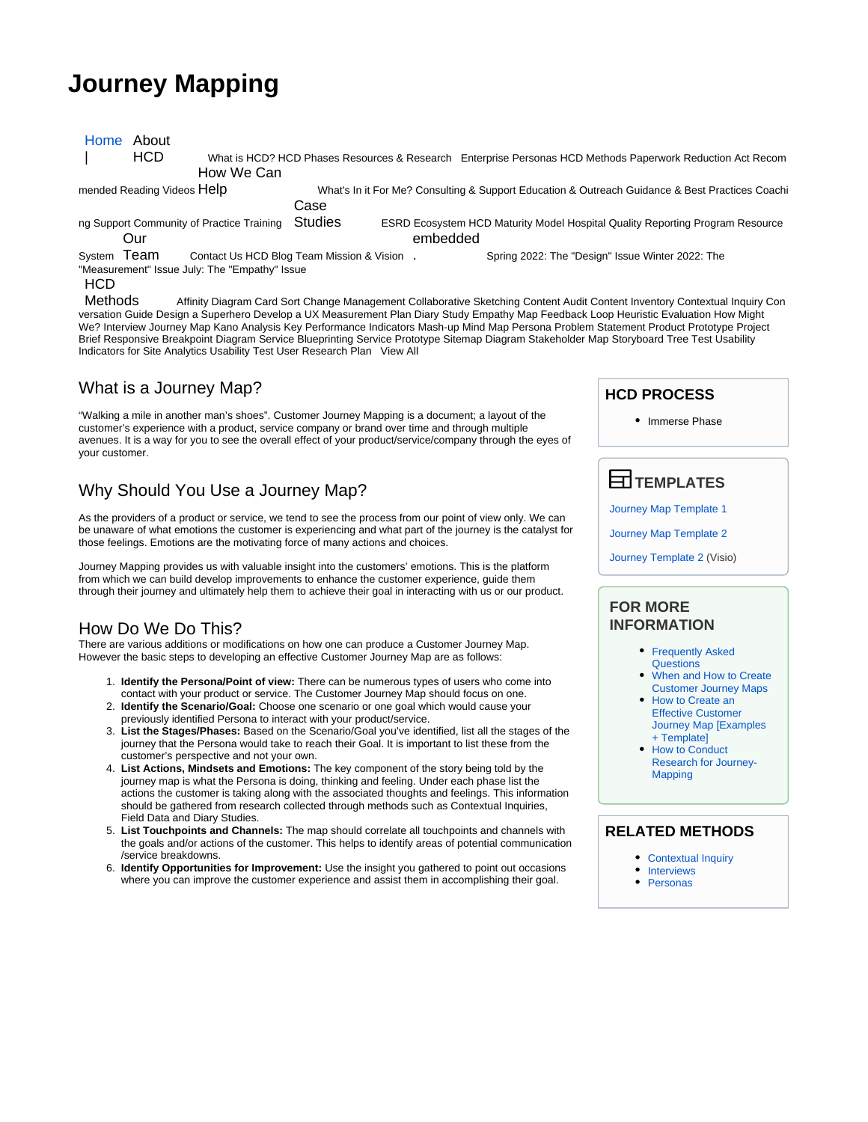# **Journey Mapping**

| Home About<br>HCD<br>How We Can                                            |                                            | What is HCD? HCD Phases Resources & Research Enterprise Personas HCD Methods Paperwork Reduction Act Recom |
|----------------------------------------------------------------------------|--------------------------------------------|------------------------------------------------------------------------------------------------------------|
| mended Reading Videos Help                                                 |                                            | What's In it For Me? Consulting & Support Education & Outreach Guidance & Best Practices Coachi            |
|                                                                            | Case                                       |                                                                                                            |
| ng Support Community of Practice Training<br>Our                           | <b>Studies</b>                             | <b>ESRD Ecosystem HCD Maturity Model Hospital Quality Reporting Program Resource</b><br>embedded           |
|                                                                            |                                            |                                                                                                            |
| System Team<br>"Measurement" Issue July: The "Empathy" Issue<br><b>HCD</b> | Contact Us HCD Blog Team Mission & Vision. | Spring 2022: The "Design" Issue Winter 2022: The                                                           |
| $Mth$ de                                                                   |                                            |                                                                                                            |

Methods Affinity Diagram Card Sort Change Management Collaborative Sketching Content Audit Content Inventory Contextual Inquiry Con versation Guide Design a Superhero Develop a UX Measurement Plan Diary Study Empathy Map Feedback Loop Heuristic Evaluation How Might We? Interview Journey Map Kano Analysis Key Performance Indicators Mash-up Mind Map Persona Problem Statement Product Prototype Project Brief Responsive Breakpoint Diagram Service Blueprinting Service Prototype Sitemap Diagram Stakeholder Map Storyboard Tree Test Usability Indicators for Site Analytics Usability Test User Research Plan View All

## What is a Journey Map?

"Walking a mile in another man's shoes". Customer Journey Mapping is a document; a layout of the customer's experience with a product, service company or brand over time and through multiple avenues. It is a way for you to see the overall effect of your product/service/company through the eyes of your customer.

# Why Should You Use a Journey Map?

As the providers of a product or service, we tend to see the process from our point of view only. We can be unaware of what emotions the customer is experiencing and what part of the journey is the catalyst for those feelings. Emotions are the motivating force of many actions and choices.

Journey Mapping provides us with valuable insight into the customers' emotions. This is the platform from which we can build develop improvements to enhance the customer experience, guide them through their journey and ultimately help them to achieve their goal in interacting with us or our product.

# How Do We Do This?

There are various additions or modifications on how one can produce a Customer Journey Map. However the basic steps to developing an effective Customer Journey Map are as follows:

- 1. **Identify the Persona/Point of view:** There can be numerous types of users who come into contact with your product or service. The Customer Journey Map should focus on one.
- 2. **Identify the Scenario/Goal:** Choose one scenario or one goal which would cause your previously identified Persona to interact with your product/service.
- 3. **List the Stages/Phases:** Based on the Scenario/Goal you've identified, list all the stages of the journey that the Persona would take to reach their Goal. It is important to list these from the customer's perspective and not your own.
- 4. **List Actions, Mindsets and Emotions:** The key component of the story being told by the journey map is what the Persona is doing, thinking and feeling. Under each phase list the actions the customer is taking along with the associated thoughts and feelings. This information should be gathered from research collected through methods such as Contextual Inquiries, Field Data and Diary Studies.
- 5. **List Touchpoints and Channels:** The map should correlate all touchpoints and channels with the goals and/or actions of the customer. This helps to identify areas of potential communication /service breakdowns.
- 6. **Identify Opportunities for Improvement:** Use the insight you gathered to point out occasions where you can improve the customer experience and assist them in accomplishing their goal.

## **HCD PROCESS**

• Immerse Phase

 **TEMPLATES**

[Journey Map Template 1](https://qnetconfluence.cms.gov/download/attachments/39066888/Journey_Map_Blank.pdf?version=1&modificationDate=1547219158989&api=v2)

[Journey Map Template 2](https://qnetconfluence.cms.gov/download/attachments/39066888/Journey_Map_Sample2.pdf?version=1&modificationDate=1547219179582&api=v2)

[Journey Template 2](https://qnetconfluence.cms.gov/download/attachments/39066888/user_journey%20%284%29.vsd?version=1&modificationDate=1559068570052&api=v2) (Visio)

### **FOR MORE INFORMATION**

• Frequently Asked [Questions](https://www.nngroup.com/articles/journey-mapping-faq/?utm_source=Alertbox&utm_campaign=9ebe054aa5-journeymappingfaq_parental_anxiety_2019_04_08&utm_medium=email&utm_term=0_7f29a2b335-9ebe054aa5-40421837)

- [When and How to Create](https://www.nngroup.com/articles/customer-journey-mapping/)  [Customer Journey Maps](https://www.nngroup.com/articles/customer-journey-mapping/)
- How to Create an [Effective Customer](https://blog.hubspot.com/service/customer-journey-map)  [Journey Map \[Examples](https://blog.hubspot.com/service/customer-journey-map)  [+ Template\]](https://blog.hubspot.com/service/customer-journey-map)
- How to Conduct [Research for Journey-](https://www.nngroup.com/articles/research-journey-mapping/)[Mapping](https://www.nngroup.com/articles/research-journey-mapping/)

#### **RELATED METHODS**

- [Contextual Inquiry](https://qnetconfluence.cms.gov/display/HCD/Contextual+Inquiry)
- [Interviews](https://qnetconfluence.cms.gov/display/HCD/Interviews)
- [Personas](https://qnetconfluence.cms.gov/display/HCD/Personas)